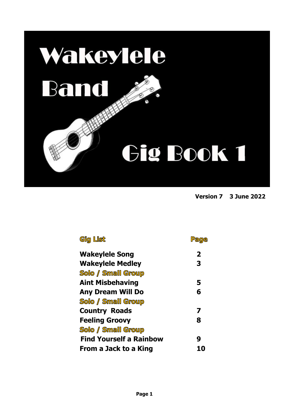

**Version 7 3 June <sup>2022</sup>** 

| Gig List                       | Pa<br><b>ae</b>         |
|--------------------------------|-------------------------|
| <b>Wakeylele Song</b>          | $\overline{\mathbf{2}}$ |
| <b>Wakeylele Medley</b>        | 3                       |
| <b>Solo / Small Group</b>      |                         |
| <b>Aint Misbehaving</b>        | 5                       |
| <b>Any Dream Will Do</b>       | 6                       |
| <b>Solo / Small Group</b>      |                         |
| <b>Country Roads</b>           | 7                       |
| <b>Feeling Groovy</b>          | 8                       |
| <b>Solo / Small Group</b>      |                         |
| <b>Find Yourself a Rainbow</b> | 9                       |
| From a Jack to a King          |                         |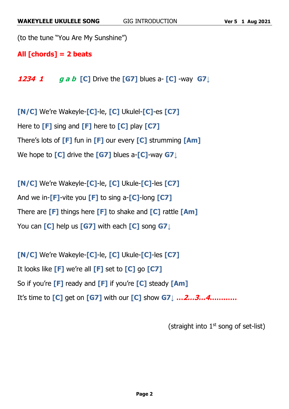```
(to the tune "You Are My Sunshine")
```
**All [chords] = 2 beats**

**1234 1 g a b [C]** Drive the **[G7]** blues a- **[C]** -way **G7↓**

**[N/C]** We're Wakeyle-**[C]**-le, **[C]** Ukulel-**[C]**-es **[C7]** Here to **[F]** sing and **[F]** here to **[C]** play **[C7]** There's lots of **[F]** fun in **[F]** our every **[C]** strumming **[Am]** We hope to **[C]** drive the **[G7]** blues a-**[C]**-way **G7↓**

**[N/C]** We're Wakeyle-**[C]**-le, **[C]** Ukule-**[C]**-les **[C7]** And we in-**[F]**-vite you **[F]** to sing a-**[C]**-long **[C7]** There are **[F]** things here **[F]** to shake and **[C]** rattle **[Am]** You can **[C]** help us **[G7]** with each **[C]** song **G7↓**

**[N/C]** We're Wakeyle-**[C]**-le, **[C]** Ukule-**[C]**-les **[C7]** It looks like **[F]** we're all **[F]** set to **[C]** go **[C7]** So if you're **[F]** ready and **[F]** if you're **[C]** steady **[Am]** It's time to **[C]** get on **[G7]** with our **[C]** show **G7↓ …2…3…4…………**

(straight into  $1<sup>st</sup>$  song of set-list)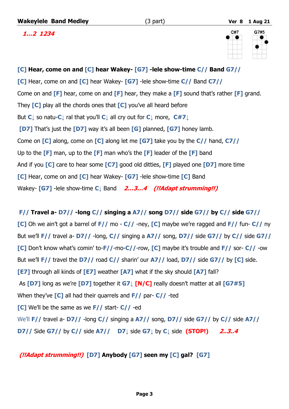**Wakeylele Band Medley** (3 part) **Ver 8 1 Aug 21**

 **1…2 1234**



# **[C] Hear, come on and [C] hear Wakey- [G7] -lele show-time C// Band G7// [C]** Hear, come on and **[C]** hear Wakey- **[G7]** -lele show-time **C//** Band **C7//** Come on and **[F]** hear, come on and **[F]** hear, they make a **[F]** sound that's rather **[F]** grand. They **[C]** play all the chords ones that **[C]** you've all heard before But **C↓** so natu-**C↓** ral that you'll **C↓** all cry out for **C↓** more, **C#7↓ [D7]** That's just the **[D7]** way it's all been **[G]** planned, **[G7]** honey lamb. Come on **[C]** along, come on **[C]** along let me **[G7]** take you by the **C//** hand, **C7//** Up to the **[F]** man, up to the **[F]** man who's the **[F]** leader of the **[F]** band And if you **[C]** care to hear some **[C7]** good old ditties, **[F]** played one **[D7]** more time **[C]** Hear, come on and **[C]** hear Wakey- **[G7]** -lele show-time **[C]** Band Wakey- **[G7]** -lele show-time **C↓** Band **2…3…4 (!!Adapt strumming!!)**

# **F// Travel a- D7// -long C// singing a A7// song D7// side G7// by C// side G7// [C]** Oh we ain't got a barrel of **F//** mo - **C//** -ney, **[C]** maybe we're ragged and **F//** fun- **C//** ny But we'll **F//** travel a- **D7//** -long, **C//** singing a **A7//** song, **D7//** side **G7//** by **C//** side **G7// [C]** Don't know what's comin' to-**F//**-mo-**C//**-row, **[C]** maybe it's trouble and **F//** sor- **C//** -ow But we'll **F//** travel the **D7//** road **C//** sharin' our **A7//** load, **D7//** side **G7//** by **[C]** side. **[E7]** through all kinds of **[E7]** weather **[A7]** what if the sky should **[A7]** fall? As **[D7]** long as we're **[D7]** together it **G7↓ [N/C]** really doesn't matter at all **[G7#5]** When they've **[C]** all had their quarrels and **F//** par- **C//** -ted **[C]** We'll be the same as we **F//** start- **C//** -ed We'll **F//** travel a- **D7//** -long **C//** singing a **A7//** song, **D7//** side **G7//** by **C//** side **A7// D7//** Side **G7//** by **C//** side **A7// D7↓** side **G7↓** by **C↓** side **(STOP!) 2..3..4**

#### **(!!Adapt strumming!!) [D7] Anybody [G7] seen my [C] gal? [G7]**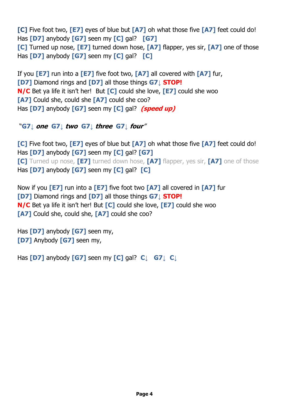**[C]** Five foot two, **[E7]** eyes of blue but **[A7]** oh what those five **[A7]** feet could do! Has **[D7]** anybody **[G7]** seen my **[C]** gal? **[G7] [C]** Turned up nose, **[E7]** turned down hose, **[A7]** flapper, yes sir, **[A7]** one of those Has **[D7]** anybody **[G7]** seen my **[C]** gal? **[C]**

If you **[E7]** run into a **[E7]** five foot two, **[A7]** all covered with **[A7]** fur, **[D7]** Diamond rings and **[D7]** all those things **G7↓ STOP! N/C** Bet ya life it isn't her! But **[C]** could she love, **[E7]** could she woo **[A7]** Could she, could she **[A7]** could she coo? Has **[D7]** anybody **[G7]** seen my **[C]** gal? **(speed up)**

#### "**G7↓ one G7↓ two G7↓ three G7↓ four**"

**[C]** Five foot two, **[E7]** eyes of blue but **[A7]** oh what those five **[A7]** feet could do! Has **[D7]** anybody **[G7]** seen my **[C]** gal? **[G7] [C]** Turned up nose, **[E7]** turned down hose, **[A7]** flapper, yes sir, **[A7]** one of those Has **[D7]** anybody **[G7]** seen my **[C]** gal? **[C]**

Now if you **[E7]** run into a **[E7]** five foot two **[A7]** all covered in **[A7]** fur **[D7]** Diamond rings and **[D7]** all those things **G7↓ STOP! N/C** Bet ya life it isn't her! But **[C]** could she love, **[E7]** could she woo **[A7]** Could she, could she, **[A7]** could she coo?

Has **[D7]** anybody **[G7]** seen my, **[D7]** Anybody **[G7]** seen my,

Has **[D7]** anybody **[G7]** seen my **[C]** gal? **C↓ G7↓ C↓**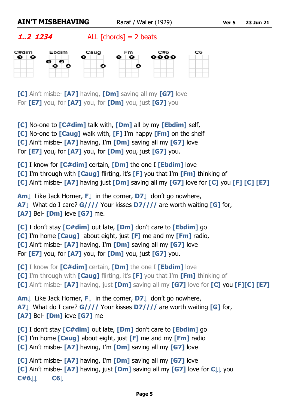**1..2 1234** ALL  $[{\text{chords}}] = 2$  beats



**[C]** Ain't misbe- **[A7]** having, **[Dm]** saving all my **[G7]** love For **[E7]** you, for **[A7]** you, for **[Dm]** you, just **[G7]** you

**[C]** No-one to **[C#dim]** talk with, **[Dm]** all by my **[Ebdim]** self, **[C]** No-one to **[Caug]** walk with, **[F]** I'm happy **[Fm]** on the shelf **[C]** Ain't misbe- **[A7]** having, I'm **[Dm]** saving all my **[G7]** love For **[E7]** you, for **[A7]** you, for **[Dm]** you, just **[G7]** you.

**[C]** I know for **[C#dim]** certain, **[Dm]** the one I **[Ebdim]** love

**[C]** I'm through with **[Caug]** flirting, it's **[F]** you that I'm **[Fm]** thinking of

**[C]** Ain't misbe- **[A7]** having just **[Dm]** saving all my **[G7]** love for **[C]** you **[F] [C] [E7]**

**Am↓** Like Jack Horner, **F↓** in the corner, **D7↓** don't go nowhere, **A7↓** What do I care? **G////** Your kisses **D7////** are worth waiting **[G]** for, **[A7]** Bel- **[Dm]** ieve **[G7]** me.

**[C]** I don't stay **[C#dim]** out late, **[Dm]** don't care to **[Ebdim]** go **[C]** I'm home **[Caug]** about eight, just **[F]** me and my **[Fm]** radio, **[C]** Ain't misbe- **[A7]** having, I'm **[Dm]** saving all my **[G7]** love For **[E7]** you, for **[A7]** you, for **[Dm]** you, just **[G7]** you.

**[C]** I know for **[C#dim]** certain, **[Dm]** the one I **[Ebdim]** love

**[C]** I'm through with **[Caug]** flirting, it's **[F]** you that I'm **[Fm]** thinking of

**[C]** Ain't misbe- **[A7]** having, just **[Dm]** saving all my **[G7]** love for **[C]** you **[F][C] [E7]**

**Am↓** Like Jack Horner, **F↓** in the corner, **D7↓** don't go nowhere, **A7↓** What do I care? **G////** Your kisses **D7////** are worth waiting **[G]** for, **[A7]** Bel- **[Dm]** ieve **[G7]** me

**[C]** I don't stay **[C#dim]** out late, **[Dm]** don't care to **[Ebdim]** go **[C]** I'm home **[Caug]** about eight, just **[F]** me and my **[Fm]** radio **[C]** Ain't misbe- **[A7]** having, I'm **[Dm]** saving all my **[G7]** love

**[C]** Ain't misbe- **[A7]** having, I'm **[Dm]** saving all my **[G7]** love **[C]** Ain't misbe- **[A7]** having, just **[Dm]** saving all my **[G7]** love for **C↓↓** you **C#6↓↓ C6↓**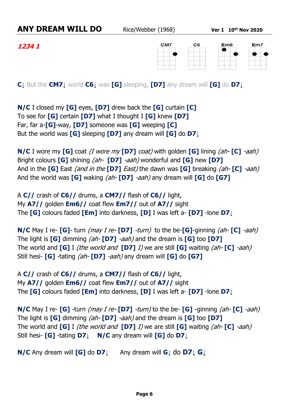$Em6$ 

**1234 1**

CM7  $C6$ 



**C↓** But the **CM7↓** world **C6↓** was **[G]** sleeping, **[D7]** any dream will **[G]** do **D7↓**

**N/C** I closed my **[G]** eyes, **[D7]** drew back the **[G]** curtain **[C]** To see for **[G]** certain **[D7]** what I thought I **[G]** knew **[D7]** Far, far a-**[G]**-way, **[D7]** someone was **[G]** weeping **[C]** But the world was **[G]** sleeping **[D7]** any dream will **[G]** do **D7↓**

**N/C** I wore my **[G]** coat (I wore my **[D7]** coat) with golden **[G]** lining (ah- **[C]** -aah) Bright colours **[G]** shining (ah- **[D7]** -aah) wonderful and **[G]** new **[D7]** And in the **[G]** East (and in the **[D7]** East) the dawn was **[G]** breaking (ah- **[C]** -aah) And the world was **[G]** waking (ah- **[D7]** -aah) any dream will **[G]** do **[G7]**

A **C//** crash of **C6//** drums, a **CM7//** flash of **C6//** light, My **A7//** golden **Em6//** coat flew **Em7//** out of **A7//** sight The **[G]** colours faded **[Em]** into darkness, **[D]** I was left a- **[D7]** -lone **D7↓**

**N/C** May I re- **[G]**- turn (may I re- **[D7]** -turn) to the be-**[G]**-ginning (ah- **[C]** -aah) The light is **[G]** dimming (ah- **[D7]** -aah) and the dream is **[G]** too **[D7]** The world and **[G]** I (the world and **[D7]** I) we are still **[G]** waiting (ah- **[C]** -aah) Still hesi- **[G]** -tating (ah- **[D7]** -aah) any dream will **[G]** do **[G7]**

A **C//** crash of **C6//** drums, a **CM7//** flash of **C6//** light, My **A7//** golden **Em6//** coat flew **Em7//** out of **A7//** sight The **[G]** colours faded **[Em]** into darkness, **[D]** I was left a- **[D7]** -lone **D7↓**

**N/C** May I re- **[G]** -turn (may I re- **[D7]** -turn) to the be- **[G]** -ginning (ah- **[C]** -aah) The light is **[G]** dimming (ah- **[D7]** -aah) and the dream is **[G]** too **[D7]** The world and **[G]** I (the world and **[D7]** I) we are still **[G]** waiting (ah- **[C]** -aah) Still hesi- **[G]** -tating **D7↓ N/C** any dream will **[G]** do **D7↓**

**N/C** Any dream will **[G]** do **D7↓** Any dream will **G↓** do **D7↓ G↓**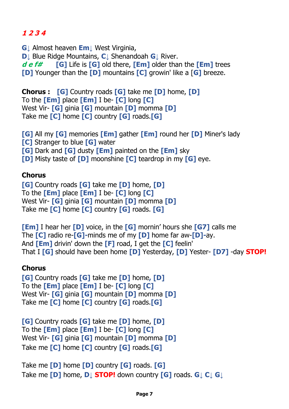# **1 2 3 4**

**G↓** Almost heaven **Em↓** West Virginia, **D↓** Blue Ridge Mountains, **C↓** Shenandoah **G↓** River. **d e f# [G]** Life is **[G]** old there, **[Em]** older than the **[Em]** trees **[D]** Younger than the **[D]** mountains **[C]** growin' like a [**G]** breeze.

**Chorus : [G]** Country roads **[G]** take me **[D]** home, **[D]**  To the **[Em]** place **[Em]** I be- **[C]** long **[C]** West Vir- **[G]** ginia **[G]** mountain **[D]** momma **[D]** Take me **[C]** home **[C]** country **[G]** roads.**[G]**

**[G]** All my **[G]** memories **[Em]** gather **[Em]** round her **[D]** Miner's lady **[C]** Stranger to blue **[G]** water **[G]** Dark and **[G]** dusty **[Em]** painted on the **[Em]** sky **[D]** Misty taste of **[D]** moonshine **[C]** teardrop in my **[G]** eye.

### **Chorus**

**[G]** Country roads **[G]** take me **[D]** home, **[D]** To the **[Em]** place **[Em]** I be- **[C]** long **[C]** West Vir- **[G]** ginia **[G]** mountain **[D]** momma **[D]** Take me **[C]** home **[C]** country **[G]** roads. **[G]**

**[Em]** I hear her **[D]** voice, in the **[G]** mornin' hours she **[G7]** calls me The **[C]** radio re-**[G]-**minds me of my **[D]** home far aw-**[D]-**ay. And **[Em]** drivin' down the **[F]** road, I get the **[C]** feelin' That I **[G]** should have been home **[D]** Yesterday, **[D]** Yester- **[D7]** -day **STOP!**

## **Chorus**

**[G]** Country roads **[G]** take me **[D]** home**, [D]**  To the **[Em]** place **[Em]** I be- **[C]** long **[C]** West Vir- **[G]** ginia **[G]** mountain **[D]** momma **[D]** Take me **[C]** home **[C]** country **[G]** roads.**[G]**

**[G]** Country roads **[G]** take me **[D]** home, **[D]** To the **[Em]** place **[Em]** I be- **[C]** long **[C]** West Vir- **[G]** ginia **[G]** mountain **[D]** momma **[D]** Take me **[C]** home **[C]** country **[G]** roads.**[G]**

Take me **[D]** home **[D]** country **[G]** roads. **[G]** Take me **[D]** home, **D↓ STOP!** down country **[G]** roads. **G↓ C↓ G↓**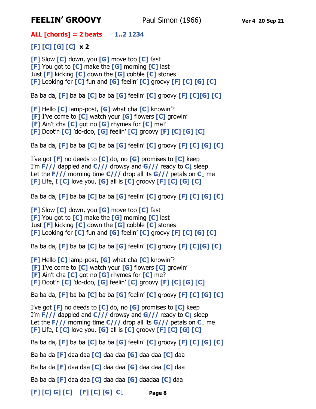# **FEELIN' GROOVY** Paul Simon (1966) **Ver 4 20 Sep <sup>21</sup>**

**ALL [chords] = 2 beats 1..2 1234** 

**[F] [C] [G] [C] x 2**

**[F]** Slow **[C]** down, you **[G]** move too **[C]** fast **[F]** You got to **[C]** make the **[G]** morning **[C]** last Just **[F]** kicking **[C]** down the **[G]** cobble **[C]** stones **[F]** Looking for **[C]** fun and **[G]** feelin' **[C]** groovy **[F] [C] [G] [C]**

Ba ba da, **[F]** ba ba **[C]** ba ba **[G]** feelin' **[C]** groovy **[F] [C][G] [C]**

**[F]** Hello **[C]** lamp-post, **[G]** what cha **[C]** knowin'? **[F]** I've come to **[C]** watch your **[G]** flowers **[C]** growin' **[F]** Ain't cha **[C]** got no **[G]** rhymes for **[C]** me? **[F]** Doot'n **[C]** 'do-doo, **[G]** feelin' **[C]** groovy **[F] [C] [G] [C]** 

Ba ba da, **[F]** ba ba **[C]** ba ba **[G]** feelin' **[C]** groovy **[F] [C] [G] [C]**

I've got **[F]** no deeds to **[C]** do, no **[G]** promises to **[C]** keep I'm **F///** dappled and **C///** drowsy and **G///** ready to **C↓** sleep Let the **F///** morning time **C///** drop all its **G///** petals on **C↓** me **[F]** Life, I **[C]** love you, **[G]** all is **[C]** groovy **[F] [C] [G] [C]**

Ba ba da, **[F]** ba ba **[C]** ba ba **[G]** feelin' **[C]** groovy **[F] [C] [G] [C]**

**[F]** Slow **[C]** down, you **[G]** move too **[C]** fast **[F]** You got to **[C]** make the **[G]** morning **[C]** last Just **[F]** kicking **[C]** down the **[G]** cobble **[C]** stones **[F]** Looking for **[C]** fun and **[G]** feelin' **[C]** groovy **[F] [C] [G] [C]**

Ba ba da, **[F]** ba ba **[C]** ba ba **[G]** feelin' **[C]** groovy **[F] [C][G] [C]**

**[F]** Hello **[C]** lamp-post, **[G]** what cha **[C]** knowin'? **[F]** I've come to **[C]** watch your **[G]** flowers **[C]** growin' **[F]** Ain't cha **[C]** got no **[G]** rhymes for **[C]** me? **[F]** Doot'n **[C]** 'do-doo, **[G]** feelin' **[C]** groovy **[F] [C] [G] [C]** 

Ba ba da, **[F]** ba ba **[C]** ba ba **[G]** feelin' **[C]** groovy **[F] [C] [G] [C]**

I've got **[F]** no deeds to **[C]** do, no **[G]** promises to **[C]** keep I'm **F///** dappled and **C///** drowsy and **G///** ready to **C↓** sleep Let the **F///** morning time **C///** drop all its **G///** petals on **C↓** me **[F]** Life, I **[C]** love you, **[G]** all is **[C]** groovy **[F] [C] [G] [C]**

Ba ba da, **[F]** ba ba **[C]** ba ba **[G]** feelin' **[C]** groovy **[F] [C] [G] [C]** 

Ba ba da **[F]** daa daa **[C]** daa daa **[G]** daa daa **[C]** daa

Ba ba da **[F]** daa daa **[C]** daa daa **[G]** daa daa **[C]** daa

Ba ba da **[F]** daa daa **[C]** daa daa **[G]** daadaa **[C]** daa

**[F] [C] G] [C] [F] [C] [G] C↓**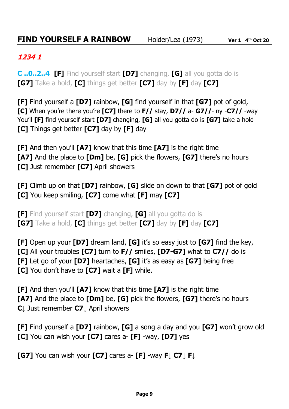### **1234 1**

**C ..0..2..4 [F]** Find yourself start **[D7]** changing, **[G]** all you gotta do is **[G7]** Take a hold, **[C]** things get better **[C7]** day by **[F]** day **[C7]**

**[F]** Find yourself a **[D7]** rainbow, **[G]** find yourself in that **[G7]** pot of gold, **[C]** When you're there you're **[C7]** there to **F//** stay, **D7//** a- **G7//**- ny -**C7//** -way You'll **[F]** find yourself start **[D7]** changing, **[G]** all you gotta do is **[G7]** take a hold **[C]** Things get better **[C7]** day by **[F]** day

**[F]** And then you'll **[A7]** know that this time **[A7]** is the right time **[A7]** And the place to **[Dm]** be, **[G]** pick the flowers, **[G7]** there's no hours **[C]** Just remember **[C7]** April showers

**[F]** Climb up on that **[D7]** rainbow, **[G]** slide on down to that **[G7]** pot of gold **[C]** You keep smiling, **[C7]** come what **[F]** may **[C7]**

**[F]** Find yourself start **[D7]** changing, **[G]** all you gotta do is **[G7]** Take a hold, **[C]** things get better **[C7]** day by **[F]** day **[C7]**

**[F]** Open up your **[D7]** dream land, **[G]** it's so easy just to **[G7]** find the key,

**[C]** All your troubles **[C7]** turn to **F//** smiles, **[D7-G7]** what to **C7//** do is

**[F]** Let go of your **[D7]** heartaches, **[G]** it's as easy as **[G7]** being free

**[C]** You don't have to **[C7]** wait a **[F]** while.

**[F]** And then you'll **[A7]** know that this time **[A7]** is the right time **[A7]** And the place to **[Dm]** be, **[G]** pick the flowers, **[G7]** there's no hours **C↓** Just remember **C7↓** April showers

**[F]** Find yourself a **[D7]** rainbow, **[G]** a song a day and you **[G7]** won't grow old **[C]** You can wish your **[C7]** cares a- **[F]** -way, **[D7]** yes

**[G7]** You can wish your **[C7]** cares a- **[F]** -way **F↓ C7↓ F↓**